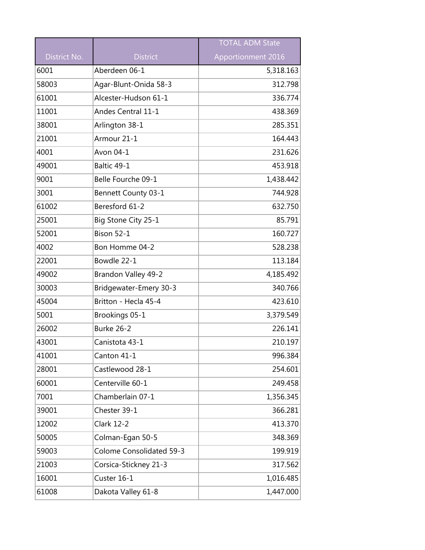|              |                                 | <b>TOTAL ADM State</b> |
|--------------|---------------------------------|------------------------|
| District No. | <b>District</b>                 | Apportionment 2016     |
| 6001         | Aberdeen 06-1                   | 5,318.163              |
| 58003        | Agar-Blunt-Onida 58-3           | 312.798                |
| 61001        | Alcester-Hudson 61-1            | 336.774                |
| 11001        | Andes Central 11-1              | 438.369                |
| 38001        | Arlington 38-1                  | 285.351                |
| 21001        | Armour 21-1                     | 164.443                |
| 4001         | Avon 04-1                       | 231.626                |
| 49001        | Baltic 49-1                     | 453.918                |
| 9001         | Belle Fourche 09-1              | 1,438.442              |
| 3001         | Bennett County 03-1             | 744.928                |
| 61002        | Beresford 61-2                  | 632.750                |
| 25001        | Big Stone City 25-1             | 85.791                 |
| 52001        | <b>Bison 52-1</b>               | 160.727                |
| 4002         | Bon Homme 04-2                  | 528.238                |
| 22001        | Bowdle 22-1                     | 113.184                |
| 49002        | Brandon Valley 49-2             | 4,185.492              |
| 30003        | Bridgewater-Emery 30-3          | 340.766                |
| 45004        | Britton - Hecla 45-4            | 423.610                |
| 5001         | Brookings 05-1                  | 3,379.549              |
| 26002        | Burke 26-2                      | 226.141                |
| 43001        | Canistota 43-1                  | 210.197                |
| 41001        | Canton 41-1                     | 996.384                |
| 28001        | Castlewood 28-1                 | 254.601                |
| 60001        | Centerville 60-1                | 249.458                |
| 7001         | Chamberlain 07-1                | 1,356.345              |
| 39001        | Chester 39-1                    | 366.281                |
| 12002        | <b>Clark 12-2</b>               | 413.370                |
| 50005        | Colman-Egan 50-5                | 348.369                |
| 59003        | <b>Colome Consolidated 59-3</b> | 199.919                |
| 21003        | Corsica-Stickney 21-3           | 317.562                |
| 16001        | Custer 16-1                     | 1,016.485              |
| 61008        | Dakota Valley 61-8              | 1,447.000              |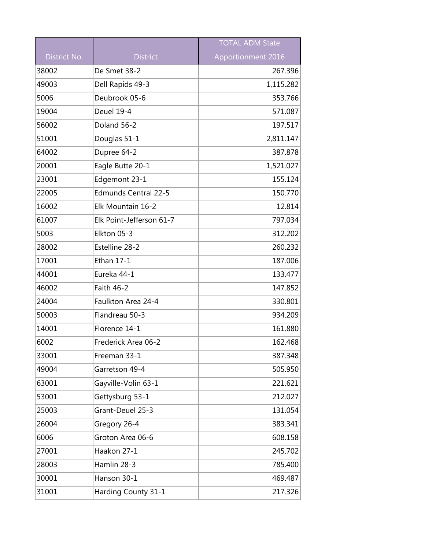|              |                             | <b>TOTAL ADM State</b> |
|--------------|-----------------------------|------------------------|
| District No. | <b>District</b>             | Apportionment 2016     |
| 38002        | De Smet 38-2                | 267.396                |
| 49003        | Dell Rapids 49-3            | 1,115.282              |
| 5006         | Deubrook 05-6               | 353.766                |
| 19004        | Deuel 19-4                  | 571.087                |
| 56002        | Doland 56-2                 | 197.517                |
| 51001        | Douglas 51-1                | 2,811.147              |
| 64002        | Dupree 64-2                 | 387.878                |
| 20001        | Eagle Butte 20-1            | 1,521.027              |
| 23001        | Edgemont 23-1               | 155.124                |
| 22005        | <b>Edmunds Central 22-5</b> | 150.770                |
| 16002        | Elk Mountain 16-2           | 12.814                 |
| 61007        | Elk Point-Jefferson 61-7    | 797.034                |
| 5003         | Elkton 05-3                 | 312.202                |
| 28002        | Estelline 28-2              | 260.232                |
| 17001        | Ethan 17-1                  | 187.006                |
| 44001        | Eureka 44-1                 | 133.477                |
| 46002        | Faith 46-2                  | 147.852                |
| 24004        | Faulkton Area 24-4          | 330.801                |
| 50003        | Flandreau 50-3              | 934.209                |
| 14001        | Florence 14-1               | 161.880                |
| 6002         | Frederick Area 06-2         | 162.468                |
| 33001        | Freeman 33-1                | 387.348                |
| 49004        | Garretson 49-4              | 505.950                |
| 63001        | Gayville-Volin 63-1         | 221.621                |
| 53001        | Gettysburg 53-1             | 212.027                |
| 25003        | Grant-Deuel 25-3            | 131.054                |
| 26004        | Gregory 26-4                | 383.341                |
| 6006         | Groton Area 06-6            | 608.158                |
| 27001        | Haakon 27-1                 | 245.702                |
| 28003        | Hamlin 28-3                 | 785.400                |
| 30001        | Hanson 30-1                 | 469.487                |
| 31001        | Harding County 31-1         | 217.326                |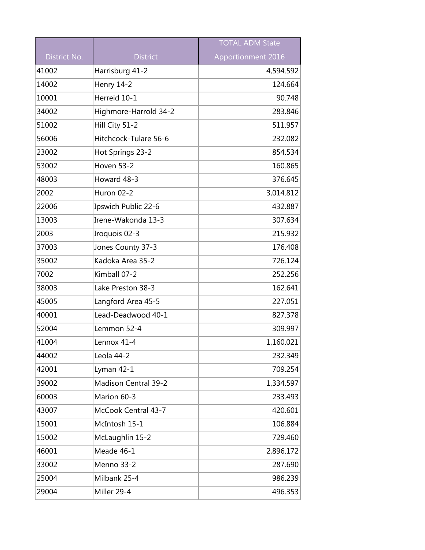|              |                             | <b>TOTAL ADM State</b> |
|--------------|-----------------------------|------------------------|
| District No. | <b>District</b>             | Apportionment 2016     |
| 41002        | Harrisburg 41-2             | 4,594.592              |
| 14002        | <b>Henry 14-2</b>           | 124.664                |
| 10001        | Herreid 10-1                | 90.748                 |
| 34002        | Highmore-Harrold 34-2       | 283.846                |
| 51002        | Hill City 51-2              | 511.957                |
| 56006        | Hitchcock-Tulare 56-6       | 232.082                |
| 23002        | Hot Springs 23-2            | 854.534                |
| 53002        | Hoven 53-2                  | 160.865                |
| 48003        | Howard 48-3                 | 376.645                |
| 2002         | Huron 02-2                  | 3,014.812              |
| 22006        | Ipswich Public 22-6         | 432.887                |
| 13003        | Irene-Wakonda 13-3          | 307.634                |
| 2003         | Iroquois 02-3               | 215.932                |
| 37003        | Jones County 37-3           | 176.408                |
| 35002        | Kadoka Area 35-2            | 726.124                |
| 7002         | Kimball 07-2                | 252.256                |
| 38003        | Lake Preston 38-3           | 162.641                |
| 45005        | Langford Area 45-5          | 227.051                |
| 40001        | Lead-Deadwood 40-1          | 827.378                |
| 52004        | Lemmon 52-4                 | 309.997                |
| 41004        | Lennox 41-4                 | 1,160.021              |
| 44002        | Leola 44-2                  | 232.349                |
| 42001        | Lyman 42-1                  | 709.254                |
| 39002        | <b>Madison Central 39-2</b> | 1,334.597              |
| 60003        | Marion 60-3                 | 233.493                |
| 43007        | McCook Central 43-7         | 420.601                |
| 15001        | McIntosh 15-1               | 106.884                |
| 15002        | McLaughlin 15-2             | 729.460                |
| 46001        | Meade 46-1                  | 2,896.172              |
| 33002        | Menno 33-2                  | 287.690                |
| 25004        | Milbank 25-4                | 986.239                |
| 29004        | Miller 29-4                 | 496.353                |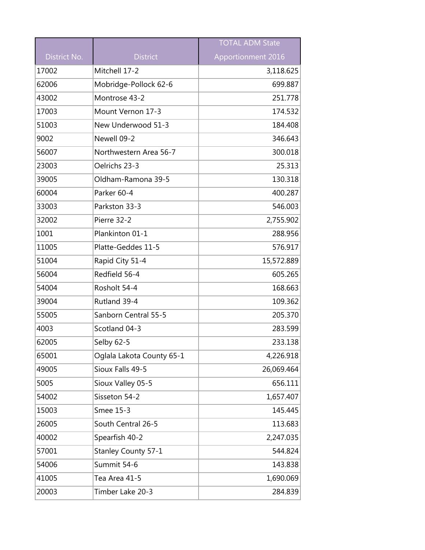|              |                           | <b>TOTAL ADM State</b> |
|--------------|---------------------------|------------------------|
| District No. | <b>District</b>           | Apportionment 2016     |
| 17002        | Mitchell 17-2             | 3,118.625              |
| 62006        | Mobridge-Pollock 62-6     | 699.887                |
| 43002        | Montrose 43-2             | 251.778                |
| 17003        | Mount Vernon 17-3         | 174.532                |
| 51003        | New Underwood 51-3        | 184.408                |
| 9002         | Newell 09-2               | 346.643                |
| 56007        | Northwestern Area 56-7    | 300.018                |
| 23003        | Oelrichs 23-3             | 25.313                 |
| 39005        | Oldham-Ramona 39-5        | 130.318                |
| 60004        | Parker 60-4               | 400.287                |
| 33003        | Parkston 33-3             | 546.003                |
| 32002        | Pierre 32-2               | 2,755.902              |
| 1001         | Plankinton 01-1           | 288.956                |
| 11005        | Platte-Geddes 11-5        | 576.917                |
| 51004        | Rapid City 51-4           | 15,572.889             |
| 56004        | Redfield 56-4             | 605.265                |
| 54004        | Rosholt 54-4              | 168.663                |
| 39004        | Rutland 39-4              | 109.362                |
| 55005        | Sanborn Central 55-5      | 205.370                |
| 4003         | Scotland 04-3             | 283.599                |
| 62005        | Selby 62-5                | 233.138                |
| 65001        | Oglala Lakota County 65-1 | 4,226.918              |
| 49005        | Sioux Falls 49-5          | 26,069.464             |
| 5005         | Sioux Valley 05-5         | 656.111                |
| 54002        | Sisseton 54-2             | 1,657.407              |
| 15003        | Smee 15-3                 | 145.445                |
| 26005        | South Central 26-5        | 113.683                |
| 40002        | Spearfish 40-2            | 2,247.035              |
| 57001        | Stanley County 57-1       | 544.824                |
| 54006        | Summit 54-6               | 143.838                |
| 41005        | Tea Area 41-5             | 1,690.069              |
| 20003        | Timber Lake 20-3          | 284.839                |